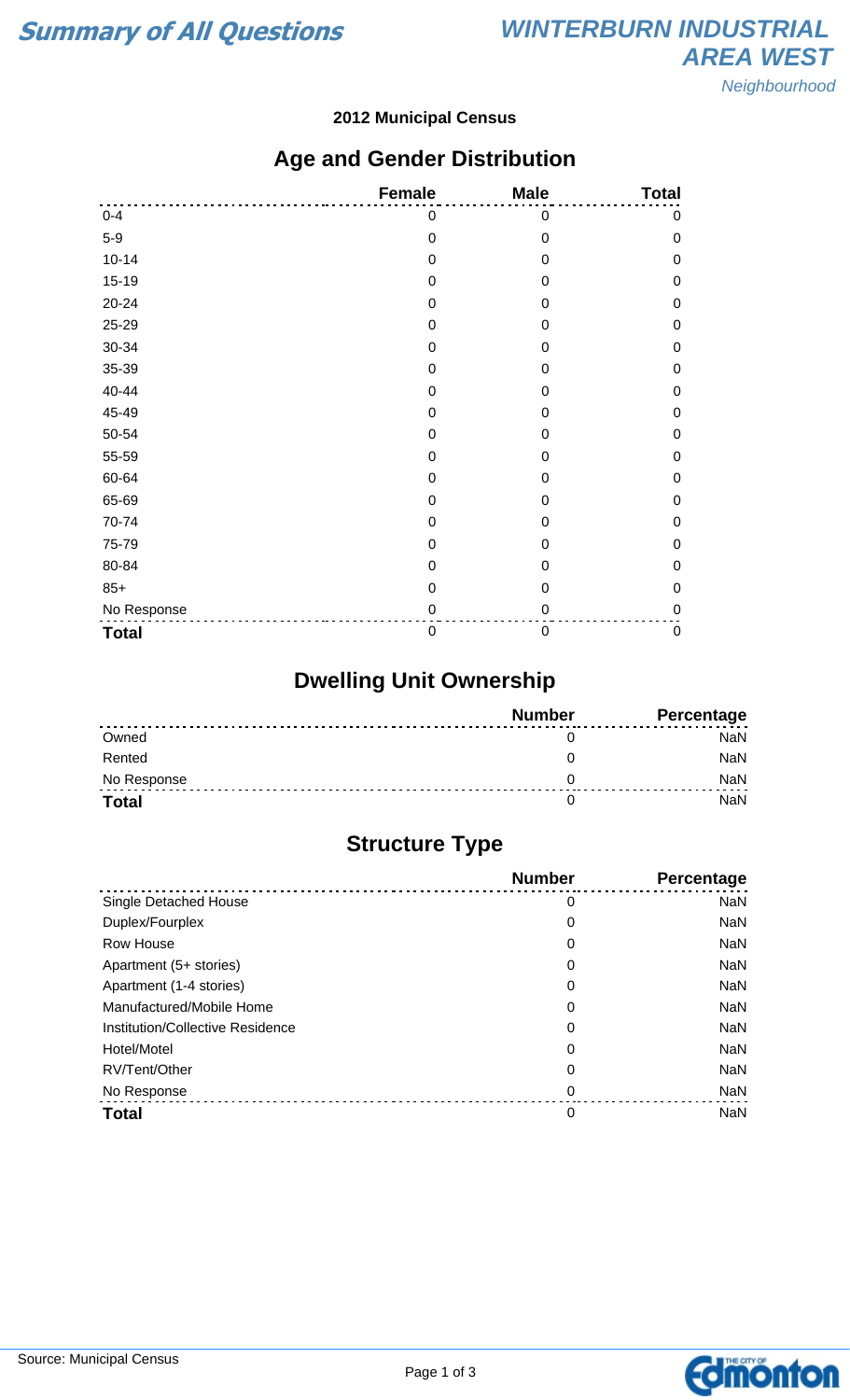#### **2012 Municipal Census**

### **Age and Gender Distribution**

|              | <b>Female</b>    | <b>Male</b>      | <b>Total</b> |
|--------------|------------------|------------------|--------------|
| $0 - 4$      | 0                | 0                | 0            |
| $5-9$        | $\mathbf 0$      | $\mathbf 0$      | 0            |
| $10 - 14$    | $\mathbf 0$      | $\mathbf 0$      | 0            |
| $15 - 19$    | $\mathbf 0$      | 0                | 0            |
| 20-24        | $\mathbf 0$      | $\mathbf 0$      | 0            |
| 25-29        | $\mathbf 0$      | $\mathbf 0$      | 0            |
| 30-34        | $\mathbf 0$      | $\mathbf 0$      | 0            |
| 35-39        | $\boldsymbol{0}$ | 0                | 0            |
| 40-44        | $\mathbf 0$      | $\mathbf 0$      | 0            |
| 45-49        | $\pmb{0}$        | 0                | 0            |
| 50-54        | $\mathbf 0$      | $\mathbf 0$      | 0            |
| 55-59        | $\mathbf 0$      | $\mathbf 0$      | 0            |
| 60-64        | $\mathbf 0$      | 0                | $\mathbf 0$  |
| 65-69        | $\mathbf 0$      | $\mathbf 0$      | $\mathbf 0$  |
| 70-74        | $\pmb{0}$        | $\mathbf 0$      | 0            |
| 75-79        | $\mathbf 0$      | $\mathbf 0$      | 0            |
| 80-84        | $\mathbf 0$      | 0                | 0            |
| $85+$        | $\mathbf 0$      | $\mathbf 0$      | 0            |
| No Response  | $\mathbf 0$      | $\mathbf 0$      | 0            |
| <b>Total</b> | $\boldsymbol{0}$ | $\boldsymbol{0}$ | $\mathbf 0$  |

# **Dwelling Unit Ownership**

|              | <b>Number</b> | Percentage |
|--------------|---------------|------------|
| Owned        |               | NaN        |
| Rented       |               | NaN        |
| No Response  |               | <b>NaN</b> |
| <b>Total</b> |               | NaN        |

# **Structure Type**

|                                  | <b>Number</b> | <b>Percentage</b> |
|----------------------------------|---------------|-------------------|
| Single Detached House            | 0             | <b>NaN</b>        |
| Duplex/Fourplex                  | 0             | <b>NaN</b>        |
| Row House                        | 0             | <b>NaN</b>        |
| Apartment (5+ stories)           | 0             | <b>NaN</b>        |
| Apartment (1-4 stories)          | 0             | <b>NaN</b>        |
| Manufactured/Mobile Home         | 0             | <b>NaN</b>        |
| Institution/Collective Residence | 0             | <b>NaN</b>        |
| Hotel/Motel                      | 0             | <b>NaN</b>        |
| RV/Tent/Other                    | 0             | <b>NaN</b>        |
| No Response                      | 0             | <b>NaN</b>        |
| <b>Total</b>                     | 0             | <b>NaN</b>        |

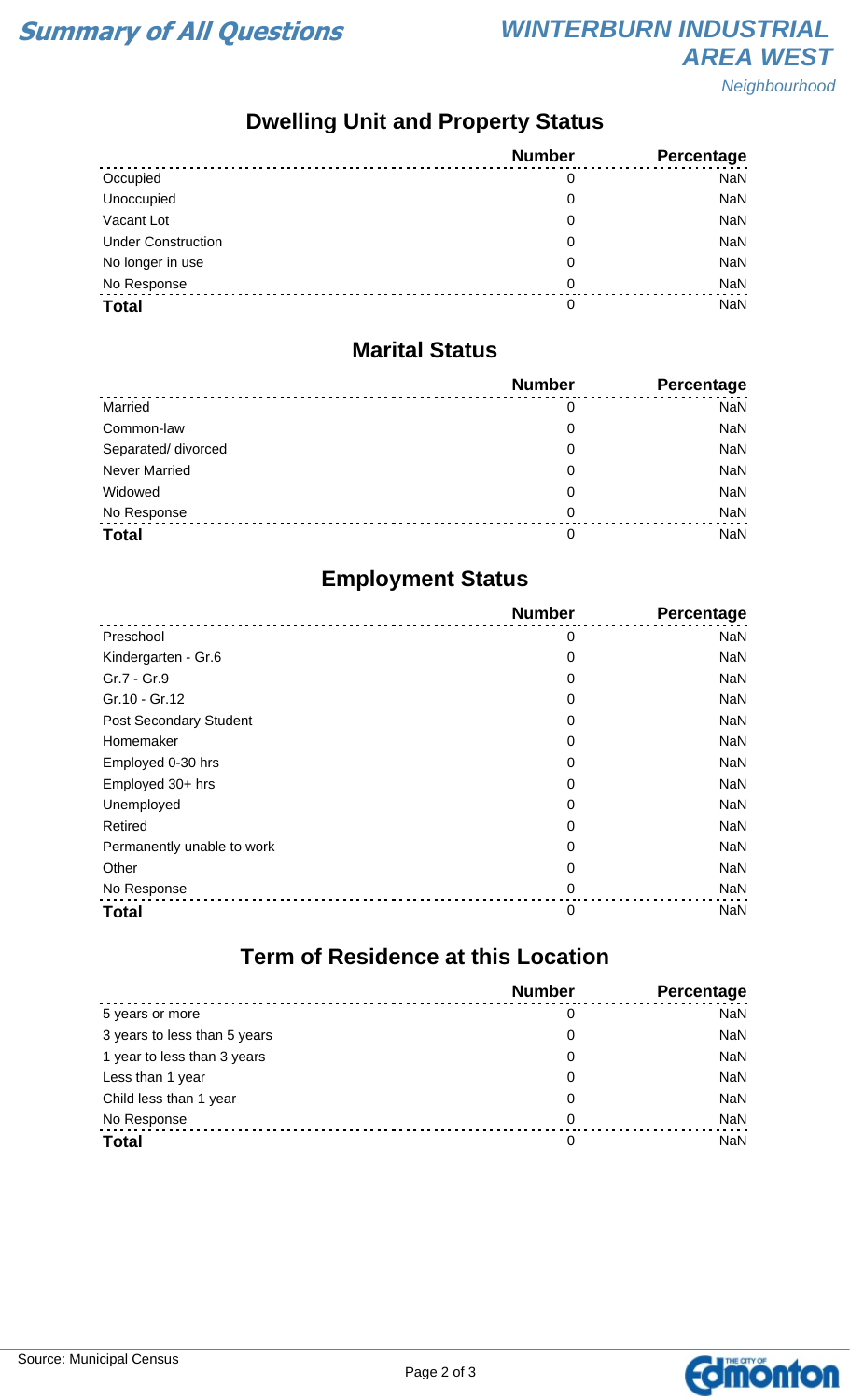**Neighbourhood** 

# **Dwelling Unit and Property Status**

|                           | <b>Number</b> | Percentage |
|---------------------------|---------------|------------|
| Occupied                  | 0             | <b>NaN</b> |
| Unoccupied                | 0             | <b>NaN</b> |
| Vacant Lot                | 0             | <b>NaN</b> |
| <b>Under Construction</b> | 0             | <b>NaN</b> |
| No longer in use          | 0             | <b>NaN</b> |
| No Response               | 0             | <b>NaN</b> |
| <b>Total</b>              | 0             | <b>NaN</b> |

#### **Marital Status**

|                      | <b>Number</b> | Percentage |
|----------------------|---------------|------------|
| Married              | 0             | <b>NaN</b> |
| Common-law           | 0             | <b>NaN</b> |
| Separated/ divorced  | 0             | <b>NaN</b> |
| <b>Never Married</b> | 0             | <b>NaN</b> |
| Widowed              | 0             | <b>NaN</b> |
| No Response          | $\Omega$      | <b>NaN</b> |
| <b>Total</b>         | 0             | <b>NaN</b> |

### **Employment Status**

|                            | <b>Number</b> | Percentage |
|----------------------------|---------------|------------|
| Preschool                  | 0             | <b>NaN</b> |
| Kindergarten - Gr.6        | 0             | <b>NaN</b> |
| Gr.7 - Gr.9                | 0             | <b>NaN</b> |
| Gr.10 - Gr.12              | 0             | <b>NaN</b> |
| Post Secondary Student     | 0             | <b>NaN</b> |
| Homemaker                  | 0             | <b>NaN</b> |
| Employed 0-30 hrs          | 0             | <b>NaN</b> |
| Employed 30+ hrs           | 0             | <b>NaN</b> |
| Unemployed                 | 0             | <b>NaN</b> |
| Retired                    | 0             | <b>NaN</b> |
| Permanently unable to work | 0             | <b>NaN</b> |
| Other                      | 0             | <b>NaN</b> |
| No Response                | 0             | <b>NaN</b> |
| <b>Total</b>               | $\mathbf 0$   | <b>NaN</b> |

### **Term of Residence at this Location**

|                              | <b>Number</b> | Percentage |
|------------------------------|---------------|------------|
| 5 years or more              | 0             | <b>NaN</b> |
| 3 years to less than 5 years | 0             | <b>NaN</b> |
| 1 year to less than 3 years  | 0             | <b>NaN</b> |
| Less than 1 year             | 0             | <b>NaN</b> |
| Child less than 1 year       | 0             | <b>NaN</b> |
| No Response                  | 0             | <b>NaN</b> |
| <b>Total</b>                 | 0             | <b>NaN</b> |